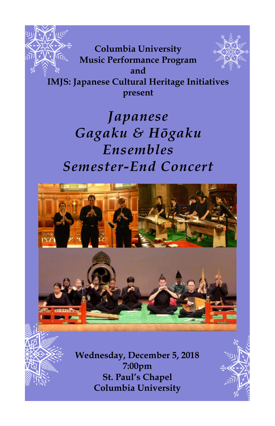

**Columbia University Music Performance Program and IMJS: Japanese Cultural Heritage Initiatives present**

# *Japanese Gagaku & Hōgaku Ensembles Semester-End Concert*

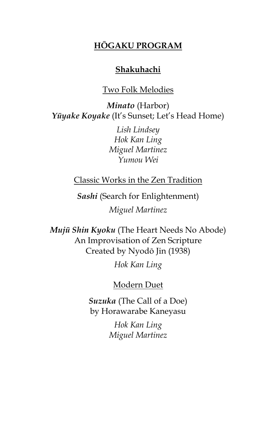#### **HŌGAKU PROGRAM**

#### **Shakuhachi**

#### Two Folk Melodies

*Minato* (Harbor) *Yūyake Koyake* (It's Sunset; Let's Head Home)

> *Lish Lindsey Hok Kan Ling Miguel Martinez Yumou Wei*

Classic Works in the Zen Tradition

*Sashi* (Search for Enlightenment) *Miguel Martinez* 

*Mujū Shin Kyoku* (The Heart Needs No Abode) An Improvisation of Zen Scripture Created by Nyodō Jin (1938)

*Hok Kan Ling*

#### Modern Duet

*Suzuka* (The Call of a Doe) by Horawarabe Kaneyasu

> *Hok Kan Ling Miguel Martinez*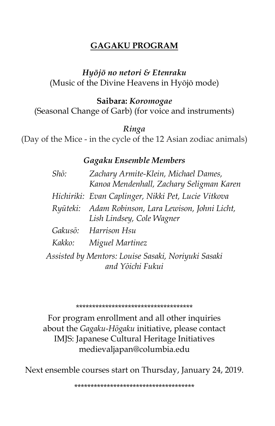### **GAGAKU PROGRAM**

#### *Hyōjō no netori & Etenraku*  (Music of the Divine Heavens in Hyōjō mode)

#### **Saibara:** *Koromogae*

(Seasonal Change of Garb) (for voice and instruments)

#### *Ringa*

(Day of the Mice - in the cycle of the 12 Asian zodiac animals)

#### *Gagaku Ensemble Members*

|                                                                         | Shō: | Zachary Armite-Klein, Michael Dames,<br>Kanoa Mendenhall, Zachary Seligman Karen |
|-------------------------------------------------------------------------|------|----------------------------------------------------------------------------------|
|                                                                         |      | Hichiriki: Evan Caplinger, Nikki Pet, Lucie Vitkova                              |
|                                                                         |      | Ryūteki: Adam Robinson, Lara Lewison, Johni Licht,<br>Lish Lindsey, Cole Wagner  |
|                                                                         |      | Gakusō: Harrison Hsu                                                             |
|                                                                         |      | Kakko: Miguel Martinez                                                           |
| Assisted by Mentors: Louise Sasaki, Noriyuki Sasaki<br>and Yōichi Fukui |      |                                                                                  |

#### \*\*\*\*\*\*\*\*\*\*\*\*\*\*\*\*\*\*\*\*\*\*\*\*\*\*\*\*\*\*\*\*\*\*\*\*

For program enrollment and all other inquiries about the *Gagaku-Hōgaku* initiative, please contact IMJS: Japanese Cultural Heritage Initiatives medievaljapan@columbia.edu

Next ensemble courses start on Thursday, January 24, 2019.